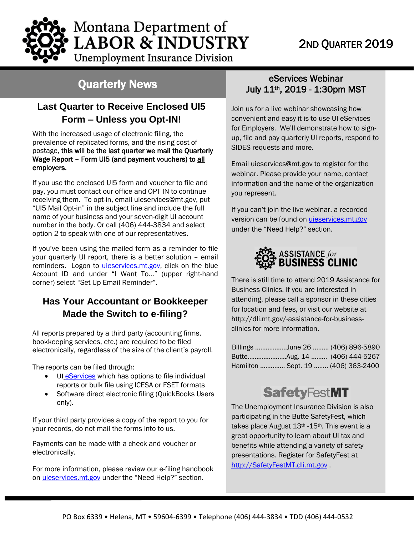# 2ND QUARTER 2019

Montana Department of **LABOR & INDUSTRY Unemployment Insurance Division** 

# Quarterly News

## **Last Quarter to Receive Enclosed UI5 Form – Unless you Opt-IN!**

with the increased usage or electronic ming, the<br>prevalence of replicated forms, and the rising cost of With the increased usage of electronic filing, the postage, this will be the last quarter we mail the Quarterly Wage Report – Form UI5 (and payment vouchers) to all employers.

If you use the enclosed UI5 form and voucher to file and pay, you must contact our office and OPT IN to continue receiving them. To opt-in, email [uieservices@mt.gov,](mailto:uieservices@mt.gov) put "UI5 Mail Opt-in" in the subject line and include the full name of your business and your seven-digit UI account number in the body. Or call (406) 444-3834 and select option 2 to speak with one of our representatives.

If you've been using the mailed form as a reminder to file your quarterly UI report, there is a better solution – email reminders. Logon to [uieservices.mt.gov,](https://uieservices.mt.gov/_/) click on the blue Account ID and under "I Want To…" (upper right-hand corner) select "Set Up Email Reminder".

## **Has Your Accountant or Bookkeeper Made the Switch to e-filing?**

All reports prepared by a third party (accounting firms, bookkeeping services, etc.) are required to be filed electronically, regardless of the size of the client's payroll.

The reports can be filed through:

- UI [eServices](https://uieservices.mt.gov/_/) which has options to file individual reports or bulk file using ICESA or FSET formats
- Software direct electronic filing (QuickBooks Users only).

If your third party provides a copy of the report to you for your records, do not mail the forms into to us.

Payments can be made with a check and voucher or electronically.

For more information, please review our e-filing handbook on [uieservices.mt.gov](https://uieservices.mt.gov/_/) under the "Need Help?" section.

## eServices Webinar July 11th, 2019 - 1:30pm MST

Join us for a live webinar showcasing how convenient and easy it is to use UI eServices for Employers. We'll demonstrate how to signup, file and pay quarterly UI reports, respond to SIDES requests and more.

Email [uieservices@mt.gov](mailto:uieservices@mt.gov) to register for the webinar. Please provide your name, contact information and the name of the organization you represent.

If you can't join the live webinar, a recorded version can be found on [uieservices.mt.gov](https://uieservices.mt.gov/_/) under the "Need Help?" section.



There is still time to attend 2019 Assistance for Business Clinics. If you are interested in attending, please call a sponsor in these cities for location and fees, or visit our website at [http://dli.mt.gov/-assistance-for-business](http://dli.mt.gov/-assistance-for-business-clinics)[clinics](http://dli.mt.gov/-assistance-for-business-clinics) for more information.

| Billings June 26  (406) 896-5890   |  |
|------------------------------------|--|
|                                    |  |
| Hamilton  Sept. 19  (406) 363-2400 |  |

# **SafetyFestMT**

The Unemployment Insurance Division is also participating in the Butte SafetyFest, which takes place August 13<sup>th</sup> -15<sup>th</sup>. This event is a great opportunity to learn about UI tax and benefits while attending a variety of safety presentations. Register for SafetyFest at [http://SafetyFestMT.dli.mt.gov](http://safetyfestmt.dli.mt.gov/) .